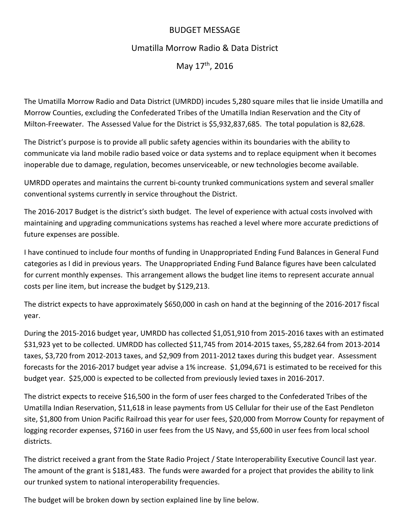## BUDGET MESSAGE

## Umatilla Morrow Radio & Data District

May 17<sup>th</sup>, 2016

The Umatilla Morrow Radio and Data District (UMRDD) incudes 5,280 square miles that lie inside Umatilla and Morrow Counties, excluding the Confederated Tribes of the Umatilla Indian Reservation and the City of Milton‐Freewater. The Assessed Value for the District is \$5,932,837,685. The total population is 82,628.

The District's purpose is to provide all public safety agencies within its boundaries with the ability to communicate via land mobile radio based voice or data systems and to replace equipment when it becomes inoperable due to damage, regulation, becomes unserviceable, or new technologies become available.

UMRDD operates and maintains the current bi‐county trunked communications system and several smaller conventional systems currently in service throughout the District.

The 2016‐2017 Budget is the district's sixth budget. The level of experience with actual costs involved with maintaining and upgrading communications systems has reached a level where more accurate predictions of future expenses are possible.

I have continued to include four months of funding in Unappropriated Ending Fund Balances in General Fund categories as I did in previous years. The Unappropriated Ending Fund Balance figures have been calculated for current monthly expenses. This arrangement allows the budget line items to represent accurate annual costs per line item, but increase the budget by \$129,213.

The district expects to have approximately \$650,000 in cash on hand at the beginning of the 2016‐2017 fiscal year.

During the 2015‐2016 budget year, UMRDD has collected \$1,051,910 from 2015‐2016 taxes with an estimated \$31,923 yet to be collected. UMRDD has collected \$11,745 from 2014‐2015 taxes, \$5,282.64 from 2013‐2014 taxes, \$3,720 from 2012‐2013 taxes, and \$2,909 from 2011‐2012 taxes during this budget year. Assessment forecasts for the 2016-2017 budget year advise a 1% increase. \$1,094,671 is estimated to be received for this budget year. \$25,000 is expected to be collected from previously levied taxes in 2016‐2017.

The district expects to receive \$16,500 in the form of user fees charged to the Confederated Tribes of the Umatilla Indian Reservation, \$11,618 in lease payments from US Cellular for their use of the East Pendleton site, \$1,800 from Union Pacific Railroad this year for user fees, \$20,000 from Morrow County for repayment of logging recorder expenses, \$7160 in user fees from the US Navy, and \$5,600 in user fees from local school districts.

The district received a grant from the State Radio Project / State Interoperability Executive Council last year. The amount of the grant is \$181,483. The funds were awarded for a project that provides the ability to link our trunked system to national interoperability frequencies.

The budget will be broken down by section explained line by line below.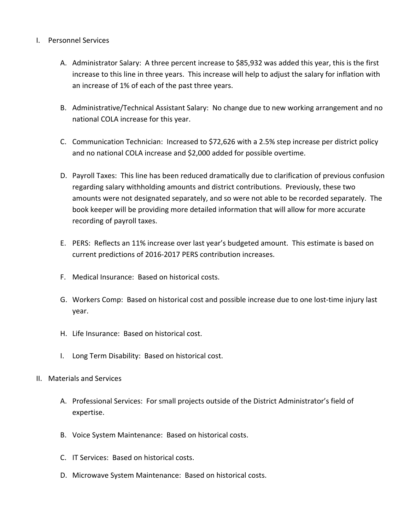## I. Personnel Services

- A. Administrator Salary: A three percent increase to \$85,932 was added this year, this is the first increase to this line in three years. This increase will help to adjust the salary for inflation with an increase of 1% of each of the past three years.
- B. Administrative/Technical Assistant Salary: No change due to new working arrangement and no national COLA increase for this year.
- C. Communication Technician: Increased to \$72,626 with a 2.5% step increase per district policy and no national COLA increase and \$2,000 added for possible overtime.
- D. Payroll Taxes: This line has been reduced dramatically due to clarification of previous confusion regarding salary withholding amounts and district contributions. Previously, these two amounts were not designated separately, and so were not able to be recorded separately. The book keeper will be providing more detailed information that will allow for more accurate recording of payroll taxes.
- E. PERS: Reflects an 11% increase over last year's budgeted amount. This estimate is based on current predictions of 2016‐2017 PERS contribution increases.
- F. Medical Insurance: Based on historical costs.
- G. Workers Comp: Based on historical cost and possible increase due to one lost‐time injury last year.
- H. Life Insurance: Based on historical cost.
- I. Long Term Disability: Based on historical cost.
- II. Materials and Services
	- A. Professional Services: For small projects outside of the District Administrator's field of expertise.
	- B. Voice System Maintenance: Based on historical costs.
	- C. IT Services: Based on historical costs.
	- D. Microwave System Maintenance: Based on historical costs.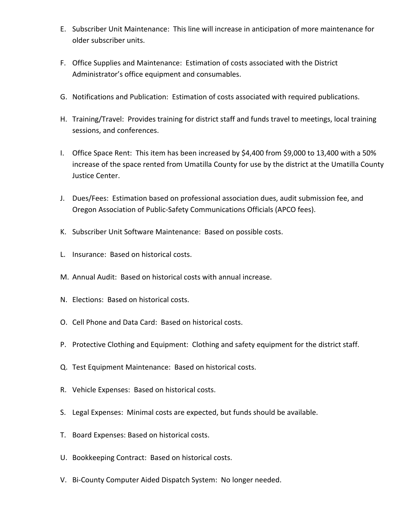- E. Subscriber Unit Maintenance: This line will increase in anticipation of more maintenance for older subscriber units.
- F. Office Supplies and Maintenance: Estimation of costs associated with the District Administrator's office equipment and consumables.
- G. Notifications and Publication: Estimation of costs associated with required publications.
- H. Training/Travel: Provides training for district staff and funds travel to meetings, local training sessions, and conferences.
- I. Office Space Rent: This item has been increased by \$4,400 from \$9,000 to 13,400 with a 50% increase of the space rented from Umatilla County for use by the district at the Umatilla County Justice Center.
- J. Dues/Fees: Estimation based on professional association dues, audit submission fee, and Oregon Association of Public‐Safety Communications Officials (APCO fees).
- K. Subscriber Unit Software Maintenance: Based on possible costs.
- L. Insurance: Based on historical costs.
- M. Annual Audit: Based on historical costs with annual increase.
- N. Elections: Based on historical costs.
- O. Cell Phone and Data Card: Based on historical costs.
- P. Protective Clothing and Equipment: Clothing and safety equipment for the district staff.
- Q. Test Equipment Maintenance: Based on historical costs.
- R. Vehicle Expenses: Based on historical costs.
- S. Legal Expenses: Minimal costs are expected, but funds should be available.
- T. Board Expenses: Based on historical costs.
- U. Bookkeeping Contract: Based on historical costs.
- V. Bi‐County Computer Aided Dispatch System: No longer needed.